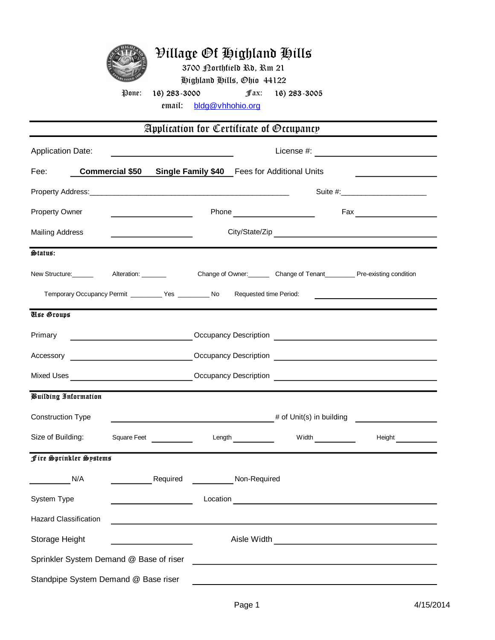|  | <i><b>Pillage Of Highland Hills</b></i> |
|--|-----------------------------------------|
|  | 3700 Borthfield Rd, Rm 21               |
|  | Highland Hills, Ohio 44122              |

Pone: 16) 283-3000 fax: 16) 283-3005

emaíl: <u>bldg@vhhohio.org</u>

| Application for Certificate of Occupancy                   |                                         |          |                                                     |                        |                                                                                                                                                                                                                                 |                                    |  |  |  |
|------------------------------------------------------------|-----------------------------------------|----------|-----------------------------------------------------|------------------------|---------------------------------------------------------------------------------------------------------------------------------------------------------------------------------------------------------------------------------|------------------------------------|--|--|--|
| <b>Application Date:</b>                                   |                                         |          | <u> 1989 - Johann Barbara, martxa alemaniar arg</u> |                        |                                                                                                                                                                                                                                 |                                    |  |  |  |
| Fee:                                                       |                                         |          |                                                     |                        | <b>Commercial \$50 Single Family \$40 Fees for Additional Units</b>                                                                                                                                                             |                                    |  |  |  |
|                                                            |                                         |          |                                                     |                        |                                                                                                                                                                                                                                 | Suite #:__________________________ |  |  |  |
| Property Owner                                             |                                         |          |                                                     |                        |                                                                                                                                                                                                                                 |                                    |  |  |  |
| <b>Mailing Address</b>                                     |                                         |          |                                                     |                        |                                                                                                                                                                                                                                 |                                    |  |  |  |
| Status:                                                    |                                         |          |                                                     |                        |                                                                                                                                                                                                                                 |                                    |  |  |  |
|                                                            |                                         |          |                                                     |                        | Change of Owner:<br>Change of Owner: Change of Tenant Change of Tenant Change of Tenant Change of Tenant Change of Owner: Thange of Owner: Thange of Owner: Thange of Owner: Thange of Owner: Thange of Owner: Thange of Owner: |                                    |  |  |  |
| Temporary Occupancy Permit ____________ Yes ___________ No |                                         |          |                                                     | Requested time Period: |                                                                                                                                                                                                                                 |                                    |  |  |  |
| <b>Use Groups</b>                                          |                                         |          |                                                     |                        |                                                                                                                                                                                                                                 |                                    |  |  |  |
| Primary                                                    | <u> 1990 - Johann Barbara, martin a</u> |          |                                                     |                        |                                                                                                                                                                                                                                 |                                    |  |  |  |
|                                                            |                                         |          |                                                     |                        |                                                                                                                                                                                                                                 |                                    |  |  |  |
|                                                            |                                         |          |                                                     |                        |                                                                                                                                                                                                                                 |                                    |  |  |  |
| <b><i>Puilding Information</i></b>                         |                                         |          |                                                     |                        |                                                                                                                                                                                                                                 |                                    |  |  |  |
| <b>Construction Type</b>                                   |                                         |          |                                                     |                        |                                                                                                                                                                                                                                 | $#$ of Unit(s) in building         |  |  |  |
| Size of Building:                                          | Square Feet<br><u> access</u>           |          |                                                     | Length $\frac{1}{2}$   |                                                                                                                                                                                                                                 |                                    |  |  |  |
| Fire Sprinkler Systems                                     |                                         |          |                                                     |                        |                                                                                                                                                                                                                                 |                                    |  |  |  |
| N/A                                                        |                                         | Required |                                                     | Non-Required           |                                                                                                                                                                                                                                 |                                    |  |  |  |
| System Type                                                |                                         |          | Location                                            |                        |                                                                                                                                                                                                                                 |                                    |  |  |  |
| <b>Hazard Classification</b>                               |                                         |          |                                                     |                        |                                                                                                                                                                                                                                 |                                    |  |  |  |
| Storage Height                                             |                                         |          |                                                     | Aisle Width            |                                                                                                                                                                                                                                 |                                    |  |  |  |
| Sprinkler System Demand @ Base of riser                    |                                         |          |                                                     |                        |                                                                                                                                                                                                                                 |                                    |  |  |  |
| Standpipe System Demand @ Base riser                       |                                         |          |                                                     |                        |                                                                                                                                                                                                                                 |                                    |  |  |  |